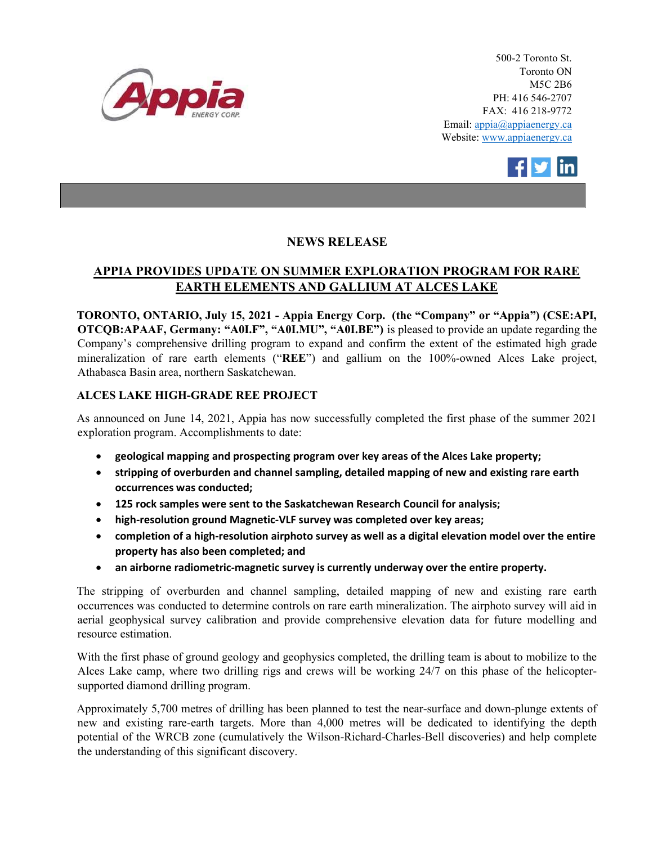

500-2 Toronto St. Toronto ON M5C 2B6 PH: 416 546-2707 FAX: 416 218-9772 Email: appia@appiaenergy.ca Website: www.appiaenergy.ca



## NEWS RELEASE

## APPIA PROVIDES UPDATE ON SUMMER EXPLORATION PROGRAM FOR RARE EARTH ELEMENTS AND GALLIUM AT ALCES LAKE

TORONTO, ONTARIO, July 15, 2021 - Appia Energy Corp. (the "Company" or "Appia") (CSE:API, OTCQB:APAAF, Germany: "A0I.F", "A0I.MU", "A0I.BE") is pleased to provide an update regarding the Company's comprehensive drilling program to expand and confirm the extent of the estimated high grade mineralization of rare earth elements ("REE") and gallium on the 100%-owned Alces Lake project, Athabasca Basin area, northern Saskatchewan.

## ALCES LAKE HIGH-GRADE REE PROJECT

As announced on June 14, 2021, Appia has now successfully completed the first phase of the summer 2021 exploration program. Accomplishments to date:

- geological mapping and prospecting program over key areas of the Alces Lake property;
- stripping of overburden and channel sampling, detailed mapping of new and existing rare earth occurrences was conducted;
- 125 rock samples were sent to the Saskatchewan Research Council for analysis;
- high-resolution ground Magnetic-VLF survey was completed over key areas;
- completion of a high-resolution airphoto survey as well as a digital elevation model over the entire property has also been completed; and
- an airborne radiometric-magnetic survey is currently underway over the entire property.

The stripping of overburden and channel sampling, detailed mapping of new and existing rare earth occurrences was conducted to determine controls on rare earth mineralization. The airphoto survey will aid in aerial geophysical survey calibration and provide comprehensive elevation data for future modelling and resource estimation.

With the first phase of ground geology and geophysics completed, the drilling team is about to mobilize to the Alces Lake camp, where two drilling rigs and crews will be working 24/7 on this phase of the helicoptersupported diamond drilling program.

Approximately 5,700 metres of drilling has been planned to test the near-surface and down-plunge extents of new and existing rare-earth targets. More than 4,000 metres will be dedicated to identifying the depth potential of the WRCB zone (cumulatively the Wilson-Richard-Charles-Bell discoveries) and help complete the understanding of this significant discovery.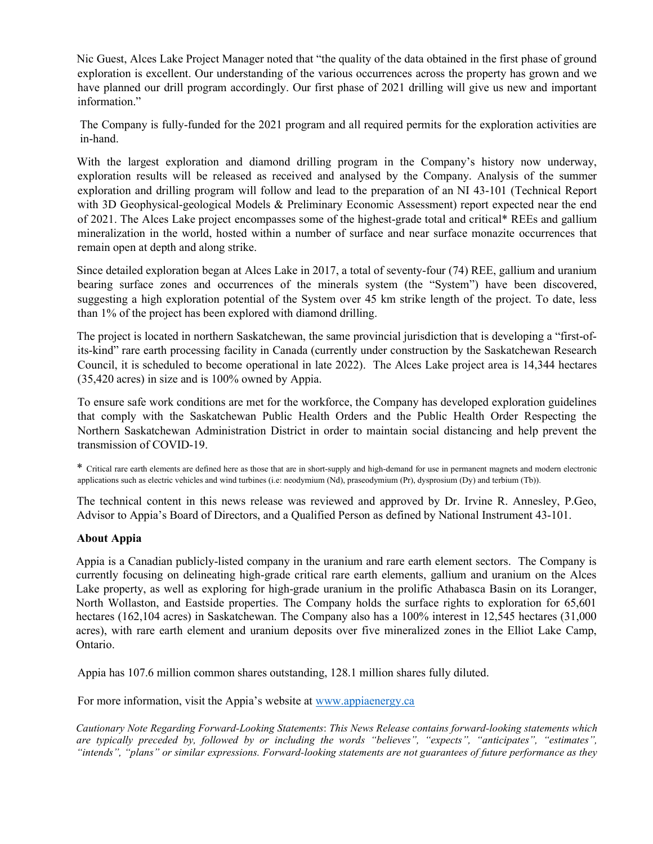Nic Guest, Alces Lake Project Manager noted that "the quality of the data obtained in the first phase of ground exploration is excellent. Our understanding of the various occurrences across the property has grown and we have planned our drill program accordingly. Our first phase of 2021 drilling will give us new and important information."

The Company is fully-funded for the 2021 program and all required permits for the exploration activities are in-hand.

With the largest exploration and diamond drilling program in the Company's history now underway, exploration results will be released as received and analysed by the Company. Analysis of the summer exploration and drilling program will follow and lead to the preparation of an NI 43-101 (Technical Report with 3D Geophysical-geological Models & Preliminary Economic Assessment) report expected near the end of 2021. The Alces Lake project encompasses some of the highest-grade total and critical\* REEs and gallium mineralization in the world, hosted within a number of surface and near surface monazite occurrences that remain open at depth and along strike.

Since detailed exploration began at Alces Lake in 2017, a total of seventy-four (74) REE, gallium and uranium bearing surface zones and occurrences of the minerals system (the "System") have been discovered, suggesting a high exploration potential of the System over 45 km strike length of the project. To date, less than 1% of the project has been explored with diamond drilling.

The project is located in northern Saskatchewan, the same provincial jurisdiction that is developing a "first-ofits-kind" rare earth processing facility in Canada (currently under construction by the Saskatchewan Research Council, it is scheduled to become operational in late 2022). The Alces Lake project area is 14,344 hectares (35,420 acres) in size and is 100% owned by Appia.

To ensure safe work conditions are met for the workforce, the Company has developed exploration guidelines that comply with the Saskatchewan Public Health Orders and the Public Health Order Respecting the Northern Saskatchewan Administration District in order to maintain social distancing and help prevent the transmission of COVID-19.

\* Critical rare earth elements are defined here as those that are in short-supply and high-demand for use in permanent magnets and modern electronic applications such as electric vehicles and wind turbines (i.e: neodymium (Nd), praseodymium (Pr), dysprosium (Dy) and terbium (Tb)).

The technical content in this news release was reviewed and approved by Dr. Irvine R. Annesley, P.Geo, Advisor to Appia's Board of Directors, and a Qualified Person as defined by National Instrument 43-101.

## About Appia

Appia is a Canadian publicly-listed company in the uranium and rare earth element sectors. The Company is currently focusing on delineating high-grade critical rare earth elements, gallium and uranium on the Alces Lake property, as well as exploring for high-grade uranium in the prolific Athabasca Basin on its Loranger, North Wollaston, and Eastside properties. The Company holds the surface rights to exploration for 65,601 hectares (162,104 acres) in Saskatchewan. The Company also has a 100% interest in 12,545 hectares (31,000 acres), with rare earth element and uranium deposits over five mineralized zones in the Elliot Lake Camp, Ontario.

Appia has 107.6 million common shares outstanding, 128.1 million shares fully diluted.

For more information, visit the Appia's website at www.appiaenergy.ca

Cautionary Note Regarding Forward-Looking Statements: This News Release contains forward-looking statements which are typically preceded by, followed by or including the words "believes", "expects", "anticipates", "estimates", "intends", "plans" or similar expressions. Forward-looking statements are not guarantees of future performance as they